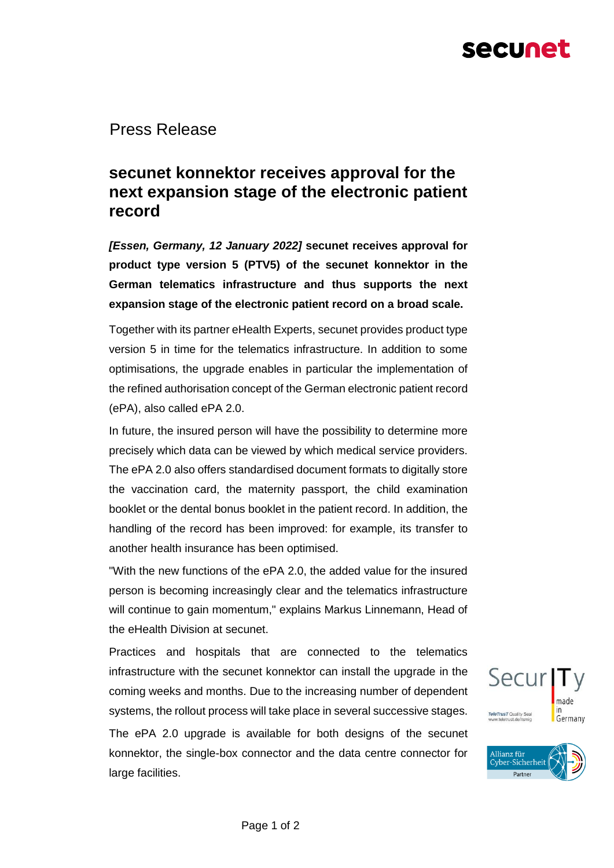# secunet

Press Release

## **secunet konnektor receives approval for the next expansion stage of the electronic patient record**

*[Essen, Germany, 12 January 2022]* **secunet receives approval for product type version 5 (PTV5) of the secunet konnektor in the German telematics infrastructure and thus supports the next expansion stage of the electronic patient record on a broad scale.**

Together with its partner eHealth Experts, secunet provides product type version 5 in time for the telematics infrastructure. In addition to some optimisations, the upgrade enables in particular the implementation of the refined authorisation concept of the German electronic patient record (ePA), also called ePA 2.0.

In future, the insured person will have the possibility to determine more precisely which data can be viewed by which medical service providers. The ePA 2.0 also offers standardised document formats to digitally store the vaccination card, the maternity passport, the child examination booklet or the dental bonus booklet in the patient record. In addition, the handling of the record has been improved: for example, its transfer to another health insurance has been optimised.

"With the new functions of the ePA 2.0, the added value for the insured person is becoming increasingly clear and the telematics infrastructure will continue to gain momentum," explains Markus Linnemann, Head of the eHealth Division at secunet.

Practices and hospitals that are connected to the telematics infrastructure with the secunet konnektor can install the upgrade in the coming weeks and months. Due to the increasing number of dependent systems, the rollout process will take place in several successive stages. The ePA 2.0 upgrade is available for both designs of the secunet konnektor, the single-box connector and the data centre connector for large facilities.